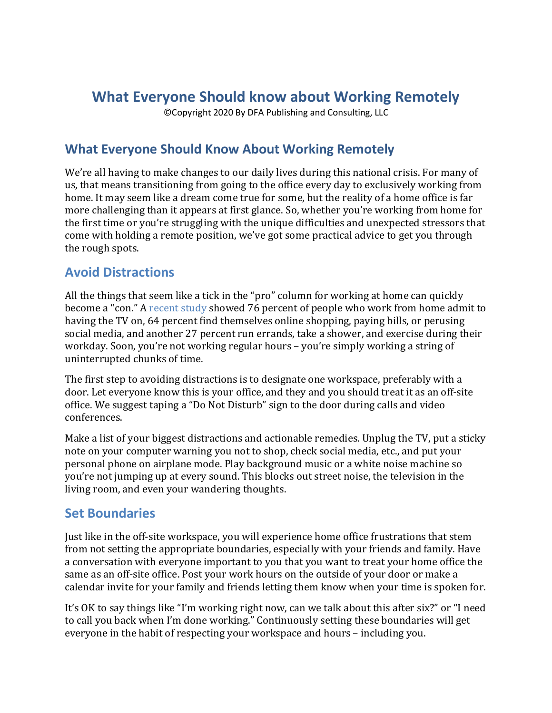# **What Everyone Should know about Working Remotely**

©Copyright 2020 By DFA Publishing and Consulting, LLC

### **What Everyone Should Know About Working Remotely**

We're all having to make changes to our daily lives during this national crisis. For many of us, that means transitioning from going to the office every day to exclusively working from home. It may seem like a dream come true for some, but the reality of a home office is far more challenging than it appears at first glance. So, whether you're working from home for the first time or you're struggling with the unique difficulties and unexpected stressors that come with holding a remote position, we've got some practical advice to get you through the rough spots.

#### **Avoid Distractions**

All the things that seem like a tick in the "pro" column for working at home can quickly become a "con." A recent study showed 76 percent of people who work from home admit to having the TV on, 64 percent find themselves online shopping, paying bills, or perusing social media, and another 27 percent run errands, take a shower, and exercise during their workday. Soon, you're not working regular hours – you're simply working a string of uninterrupted chunks of time.

The first step to avoiding distractions is to designate one workspace, preferably with a door. Let everyone know this is your office, and they and you should treat it as an off-site office. We suggest taping a "Do Not Disturb" sign to the door during calls and video conferences.

Make a list of your biggest distractions and actionable remedies. Unplug the TV, put a sticky note on your computer warning you not to shop, check social media, etc., and put your personal phone on airplane mode. Play background music or a white noise machine so you're not jumping up at every sound. This blocks out street noise, the television in the living room, and even your wandering thoughts.

### **Set Boundaries**

Just like in the off-site workspace, you will experience home office frustrations that stem from not setting the appropriate boundaries, especially with your friends and family. Have a conversation with everyone important to you that you want to treat your home office the same as an off-site office. Post your work hours on the outside of your door or make a calendar invite for your family and friends letting them know when your time is spoken for.

It's OK to say things like "I'm working right now, can we talk about this after six?" or "I need to call you back when I'm done working." Continuously setting these boundaries will get everyone in the habit of respecting your workspace and hours – including you.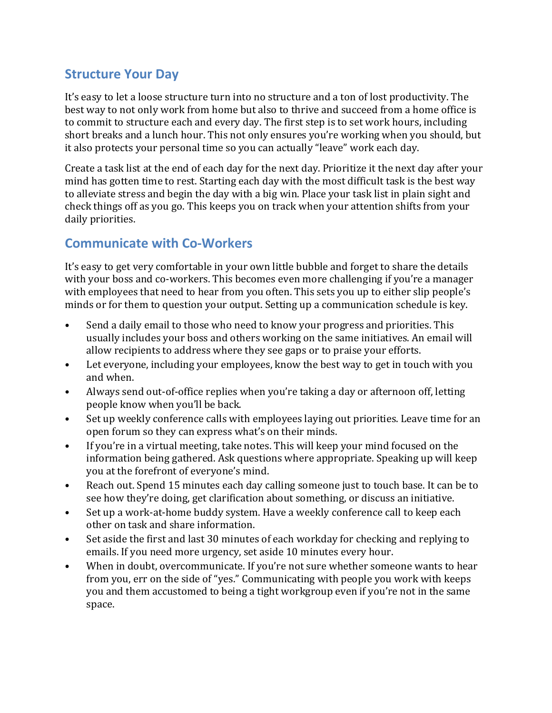#### **Structure Your Day**

It's easy to let a loose structure turn into no structure and a ton of lost productivity. The best way to not only work from home but also to thrive and succeed from a home office is to commit to structure each and every day. The first step is to set work hours, including short breaks and a lunch hour. This not only ensures you're working when you should, but it also protects your personal time so you can actually "leave" work each day.

Create a task list at the end of each day for the next day. Prioritize it the next day after your mind has gotten time to rest. Starting each day with the most difficult task is the best way to alleviate stress and begin the day with a big win. Place your task list in plain sight and check things off as you go. This keeps you on track when your attention shifts from your daily priorities.

### **Communicate with Co-Workers**

It's easy to get very comfortable in your own little bubble and forget to share the details with your boss and co-workers. This becomes even more challenging if you're a manager with employees that need to hear from you often. This sets you up to either slip people's minds or for them to question your output. Setting up a communication schedule is key.

- Send a daily email to those who need to know your progress and priorities. This usually includes your boss and others working on the same initiatives. An email will allow recipients to address where they see gaps or to praise your efforts.
- Let everyone, including your employees, know the best way to get in touch with you and when.
- Always send out-of-office replies when you're taking a day or afternoon off, letting people know when you'll be back.
- Set up weekly conference calls with employees laying out priorities. Leave time for an open forum so they can express what's on their minds.
- If you're in a virtual meeting, take notes. This will keep your mind focused on the information being gathered. Ask questions where appropriate. Speaking up will keep you at the forefront of everyone's mind.
- Reach out. Spend 15 minutes each day calling someone just to touch base. It can be to see how they're doing, get clarification about something, or discuss an initiative.
- Set up a work-at-home buddy system. Have a weekly conference call to keep each other on task and share information.
- Set aside the first and last 30 minutes of each workday for checking and replying to emails. If you need more urgency, set aside 10 minutes every hour.
- When in doubt, overcommunicate. If you're not sure whether someone wants to hear from you, err on the side of "yes." Communicating with people you work with keeps you and them accustomed to being a tight workgroup even if you're not in the same space.